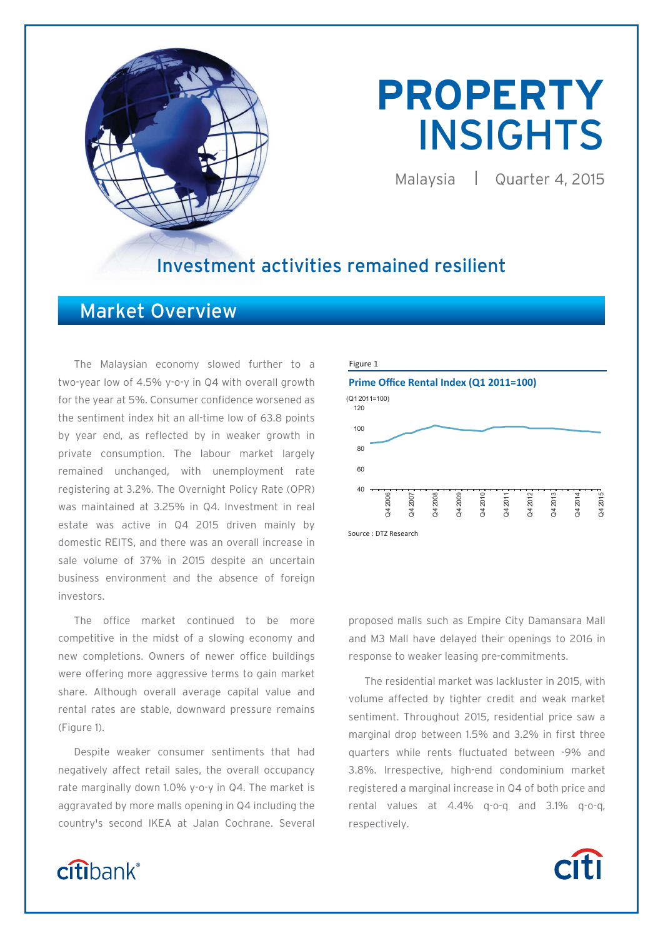

# **PROPERTY**  INSIGHTS

Malaysia | Quarter 4, 2015

# Investment activities remained resilient

# Market Overview

The Malaysian economy slowed further to a two-year low of 4.5% y-o-y in Q4 with overall growth for the year at 5%. Consumer confidence worsened as the sentiment index hit an all-time low of 63.8 points by year end, as reflected by in weaker growth in private consumption. The labour market largely remained unchanged, with unemployment rate registering at 3.2%. The Overnight Policy Rate (OPR) was maintained at 3.25% in Q4. Investment in real estate was active in Q4 2015 driven mainly by domestic REITS, and there was an overall increase in sale volume of 37% in 2015 despite an uncertain business environment and the absence of foreign investors.

The office market continued to be more competitive in the midst of a slowing economy and new completions. Owners of newer office buildings were offering more aggressive terms to gain market share. Although overall average capital value and rental rates are stable, downward pressure remains (Figure 1).

Despite weaker consumer sentiments that had negatively affect retail sales, the overall occupancy rate marginally down 1.0% y-o-y in Q4. The market is aggravated by more malls opening in Q4 including the country's second IKEA at Jalan Cochrane. Several



proposed malls such as Empire City Damansara Mall and M3 Mall have delayed their openings to 2016 in response to weaker leasing pre-commitments.

The residential market was lackluster in 2015, with volume affected by tighter credit and weak market sentiment. Throughout 2015, residential price saw a marginal drop between 1.5% and 3.2% in first three quarters while rents fluctuated between -9% and 3.8%. Irrespective, high-end condominium market registered a marginal increase in Q4 of both price and rental values at 4.4% q-o-q and 3.1% q-o-q, respectively.

# citibank®

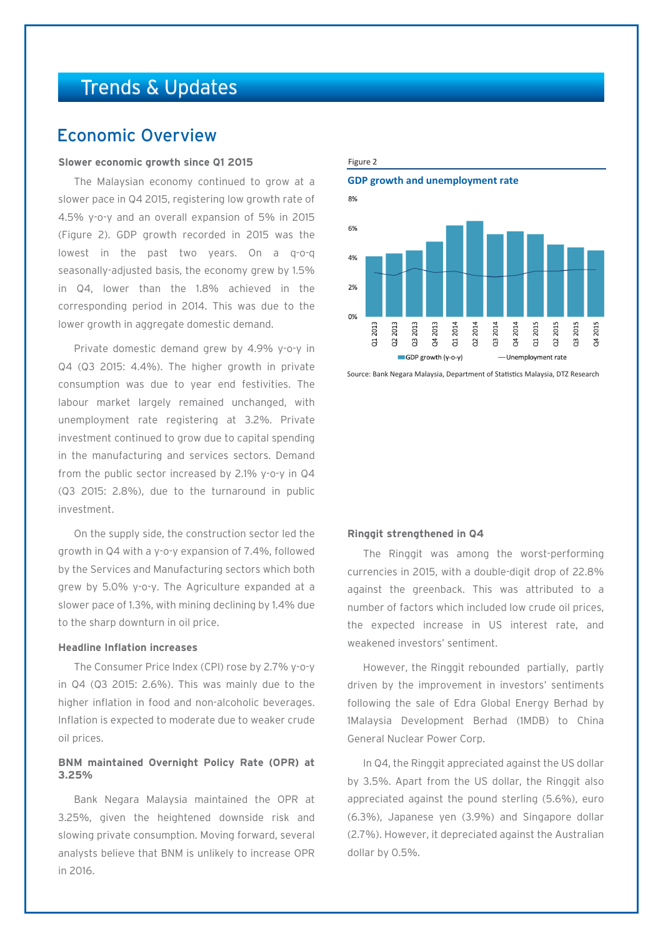# Trends & Updates

# Economic Overview

# **Slower economic growth since Q1 2015**

The Malaysian economy continued to grow at a slower pace in Q4 2015, registering low growth rate of 4.5% y-o-y and an overall expansion of 5% in 2015 (Figure 2). GDP growth recorded in 2015 was the lowest in the past two years. On a q-o-q seasonally-adjusted basis, the economy grew by 1.5% in Q4, lower than the 1.8% achieved in the corresponding period in 2014. This was due to the lower growth in aggregate domestic demand.

Private domestic demand grew by 4.9% y-o-y in Q4 (Q3 2015: 4.4%). The higher growth in private consumption was due to year end festivities. The labour market largely remained unchanged, with unemployment rate registering at 3.2%. Private investment continued to grow due to capital spending in the manufacturing and services sectors. Demand from the public sector increased by 2.1% y-o-y in Q4 (Q3 2015: 2.8%), due to the turnaround in public investment.

On the supply side, the construction sector led the growth in Q4 with a y-o-y expansion of 7.4%, followed by the Services and Manufacturing sectors which both grew by 5.0% y-o-y. The Agriculture expanded at a slower pace of 1.3%, with mining declining by 1.4% due to the sharp downturn in oil price.

# **Headline Inflation increases**

The Consumer Price Index (CPI) rose by 2.7% y-o-y in Q4 (Q3 2015: 2.6%). This was mainly due to the higher inflation in food and non-alcoholic beverages. Inflation is expected to moderate due to weaker crude oil prices.

# **BNM maintained Overnight Policy Rate (OPR) at 3.25%**

Bank Negara Malaysia maintained the OPR at 3.25%, given the heightened downside risk and slowing private consumption. Moving forward, several analysts believe that BNM is unlikely to increase OPR in 2016.

# **GDP growth and unemployment rate**

Figure 2



Source: Bank Negara Malaysia, Department of Statistics Malaysia, DTZ Research

### **Ringgit strengthened in Q4**

The Ringgit was among the worst-performing currencies in 2015, with a double-digit drop of 22.8% against the greenback. This was attributed to a number of factors which included low crude oil prices, the expected increase in US interest rate, and weakened investors' sentiment.

However, the Ringgit rebounded partially, partly driven by the improvement in investors' sentiments following the sale of Edra Global Energy Berhad by 1Malaysia Development Berhad (1MDB) to China General Nuclear Power Corp.

In Q4, the Ringgit appreciated against the US dollar by 3.5%. Apart from the US dollar, the Ringgit also appreciated against the pound sterling (5.6%), euro (6.3%), Japanese yen (3.9%) and Singapore dollar (2.7%). However, it depreciated against the Australian dollar by 0.5%.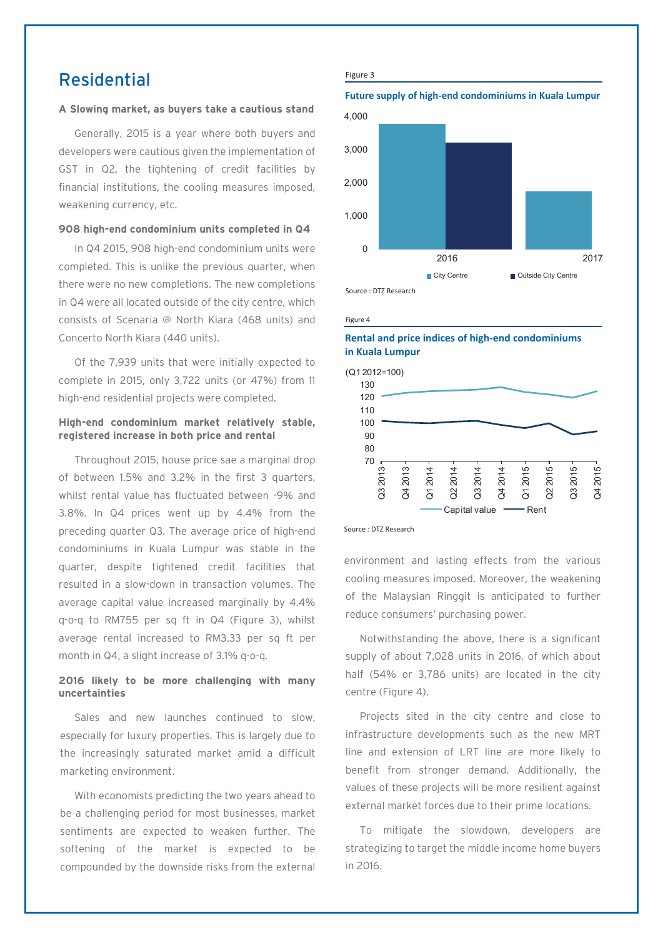# Residential

# **A Slowing market, as buyers take a cautious stand**

Generally, 2015 is a year where both buyers and developers were cautious given the implementation of GST in Q2, the tightening of credit facilities by financial institutions, the cooling measures imposed, weakening currency, etc.

# **908 high-end condominium units completed in Q4**

In Q4 2015, 908 high-end condominium units were completed. This is unlike the previous quarter, when there were no new completions. The new completions in Q4 were all located outside of the city centre, which consists of Scenaria @ North Kiara (468 units) and Concerto North Kiara (440 units).

Of the 7,939 units that were initially expected to complete in 2015, only 3,722 units (or 47%) from 11 high-end residential projects were completed.

# **High-end condominium market relatively stable, registered increase in both price and rental**

Throughout 2015, house price sae a marginal drop of between 1.5% and 3.2% in the first 3 quarters, whilst rental value has fluctuated between -9% and 3.8%. In Q4 prices went up by 4.4% from the preceding quarter Q3. The average price of high-end condominiums in Kuala Lumpur was stable in the quarter, despite tightened credit facilities that resulted in a slow-down in transaction volumes. The average capital value increased marginally by 4.4% q-o-q to RM755 per sq ft in Q4 (Figure 3), whilst average rental increased to RM3.33 per sq ft per month in Q4, a slight increase of 3.1% q-o-q.

# **2016 likely to be more challenging with many uncertainties**

Sales and new launches continued to slow, especially for luxury properties. This is largely due to the increasingly saturated market amid a difficult marketing environment.

With economists predicting the two years ahead to be a challenging period for most businesses, market sentiments are expected to weaken further. The softening of the market is expected to be compounded by the downside risks from the external

### Figure 3

**Future supply of high-end condominiums in Kuala Lumpur**



### Figure 4

# **Rental and price indices of high-end condominiums in Kuala Lumpur**



Source : DTZ Research

environment and lasting effects from the various cooling measures imposed. Moreover, the weakening of the Malaysian Ringgit is anticipated to further reduce consumers' purchasing power.

Notwithstanding the above, there is a significant supply of about 7,028 units in 2016, of which about half (54% or 3,786 units) are located in the city centre (Figure 4).

Projects sited in the city centre and close to infrastructure developments such as the new MRT line and extension of LRT line are more likely to benefit from stronger demand. Additionally, the values of these projects will be more resilient against external market forces due to their prime locations.

To mitigate the slowdown, developers are strategizing to target the middle income home buyers in 2016.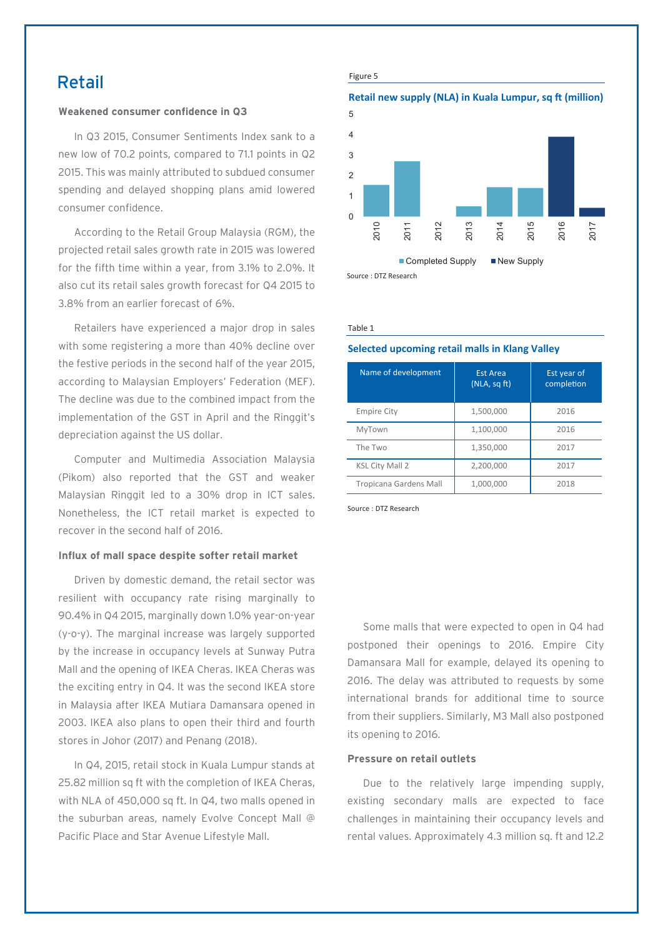# Retail

# **Weakened consumer confidence in Q3**

In Q3 2015, Consumer Sentiments Index sank to a new low of 70.2 points, compared to 71.1 points in Q2 2015. This was mainly attributed to subdued consumer spending and delayed shopping plans amid lowered consumer confidence.

According to the Retail Group Malaysia (RGM), the projected retail sales growth rate in 2015 was lowered for the fifth time within a year, from 3.1% to 2.0%. It also cut its retail sales growth forecast for Q4 2015 to 3.8% from an earlier forecast of 6%.

Retailers have experienced a major drop in sales with some registering a more than 40% decline over the festive periods in the second half of the year 2015, according to Malaysian Employers' Federation (MEF). The decline was due to the combined impact from the implementation of the GST in April and the Ringgit's depreciation against the US dollar.

Computer and Multimedia Association Malaysia (Pikom) also reported that the GST and weaker Malaysian Ringgit led to a 30% drop in ICT sales. Nonetheless, the ICT retail market is expected to recover in the second half of 2016.

# **Influx of mall space despite softer retail market**

Driven by domestic demand, the retail sector was resilient with occupancy rate rising marginally to 90.4% in Q4 2015, marginally down 1.0% year-on-year (y-o-y). The marginal increase was largely supported by the increase in occupancy levels at Sunway Putra Mall and the opening of IKEA Cheras. IKEA Cheras was the exciting entry in Q4. It was the second IKEA store in Malaysia after IKEA Mutiara Damansara opened in 2003. IKEA also plans to open their third and fourth stores in Johor (2017) and Penang (2018).

In Q4, 2015, retail stock in Kuala Lumpur stands at 25.82 million sq ft with the completion of IKEA Cheras, with NLA of 450,000 sq ft. In Q4, two malls opened in the suburban areas, namely Evolve Concept Mall @ Pacific Place and Star Avenue Lifestyle Mall.

### Figure 5

# **Retail new supply (NLA) in Kuala Lumpur, sq ft (million)**



### Table 1

# **Selected upcoming retail malls in Klang Valley**

| Name of development    | <b>Est Area</b><br>(NLA, sqTt) | Est year of<br>completion |
|------------------------|--------------------------------|---------------------------|
| <b>Empire City</b>     | 1,500,000                      | 2016                      |
| MyTown                 | 1,100,000                      | 2016                      |
| The Two                | 1,350,000                      | 2017                      |
| <b>KSL City Mall 2</b> | 2,200,000                      | 2017                      |
| Tropicana Gardens Mall | 1,000,000                      | 2018                      |

Source : DTZ Research

Some malls that were expected to open in Q4 had postponed their openings to 2016. Empire City Damansara Mall for example, delayed its opening to 2016. The delay was attributed to requests by some international brands for additional time to source from their suppliers. Similarly, M3 Mall also postponed its opening to 2016.

### **Pressure on retail outlets**

Due to the relatively large impending supply, existing secondary malls are expected to face challenges in maintaining their occupancy levels and rental values. Approximately 4.3 million sq. ft and 12.2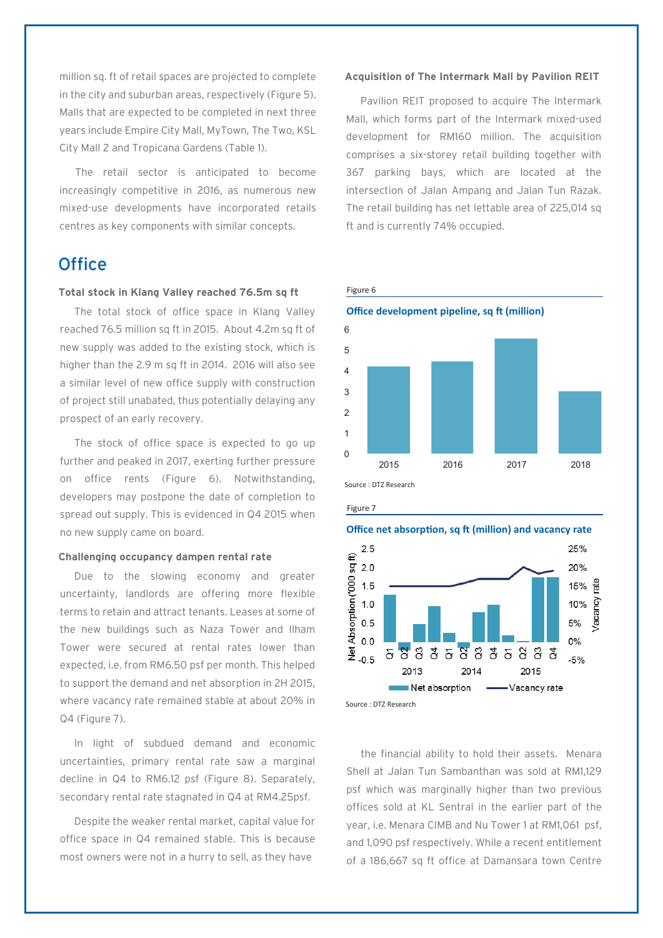million sq. ft of retail spaces are projected to complete in the city and suburban areas, respectively (Figure 5). Malls that are expected to be completed in next three years include Empire City Mall, MyTown, The Two, KSL City Mall 2 and Tropicana Gardens (Table 1).

The retail sector is anticipated to become increasingly competitive in 2016, as numerous new mixed-use developments have incorporated retails centres as key components with similar concepts.

# **Office**

# **Total stock in Klang Valley reached 76.5m sq ft**

The total stock of office space in Klang Valley reached 76.5 million sq ft in 2015. About 4.2m sq ft of new supply was added to the existing stock, which is higher than the 2.9 m sq ft in 2014. 2016 will also see a similar level of new office supply with construction of project still unabated, thus potentially delaying any prospect of an early recovery.

The stock of office space is expected to go up further and peaked in 2017, exerting further pressure on office rents (Figure 6). Notwithstanding, developers may postpone the date of completion to spread out supply. This is evidenced in Q4 2015 when no new supply came on board.

# **Challenging occupancy dampen rental rate**

Due to the slowing economy and greater uncertainty, landlords are offering more flexible terms to retain and attract tenants. Leases at some of the new buildings such as Naza Tower and Ilham Tower were secured at rental rates lower than expected, i.e. from RM6.50 psf per month. This helped to support the demand and net absorption in 2H 2015, where vacancy rate remained stable at about 20% in Q4 (Figure 7).

In light of subdued demand and economic uncertainties, primary rental rate saw a marginal decline in Q4 to RM6.12 psf (Figure 8). Separately, secondary rental rate stagnated in Q4 at RM4.25psf.

Despite the weaker rental market, capital value for office space in Q4 remained stable. This is because most owners were not in a hurry to sell, as they have

# **Acquisition of The Intermark Mall by Pavilion REIT**

Pavilion REIT proposed to acquire The Intermark Mall, which forms part of the Intermark mixed-used development for RM160 million. The acquisition comprises a six-storey retail building together with 367 parking bays, which are located at the intersection of Jalan Ampang and Jalan Tun Razak. The retail building has net lettable area of 225,014 sq ft and is currently 74% occupied.





Figure 7





the financial ability to hold their assets. Menara Shell at Jalan Tun Sambanthan was sold at RM1,129 psf which was marginally higher than two previous offices sold at KL Sentral in the earlier part of the year, i.e. Menara CIMB and Nu Tower 1 at RM1,061 psf, and 1,090 psf respectively. While a recent entitlement of a 186,667 sq ft office at Damansara town Centre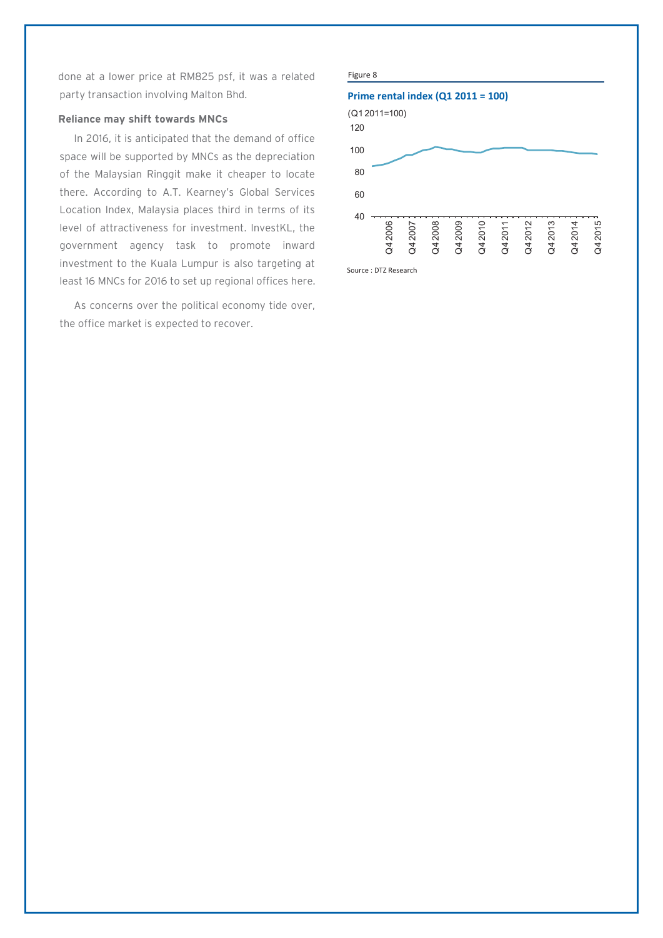done at a lower price at RM825 psf, it was a related party transaction involving Malton Bhd.

# **Reliance may shift towards MNCs**

In 2016, it is anticipated that the demand of office space will be supported by MNCs as the depreciation of the Malaysian Ringgit make it cheaper to locate there. According to A.T. Kearney's Global Services Location Index, Malaysia places third in terms of its level of attractiveness for investment. InvestKL, the government agency task to promote inward investment to the Kuala Lumpur is also targeting at least 16 MNCs for 2016 to set up regional offices here.

As concerns over the political economy tide over, the office market is expected to recover.

### Figure 8 Source : DTZ Research **Prime rental index (Q1 2011 = 100)** 40 60 80 100 120 Q4 2006 Q4 2007 Q4 2008 Q4 2009 Q4 2010 Q4 2011 Q4 2012 Q4 2013 Q4 2014 Q4 2015 (Q1 2011=100)